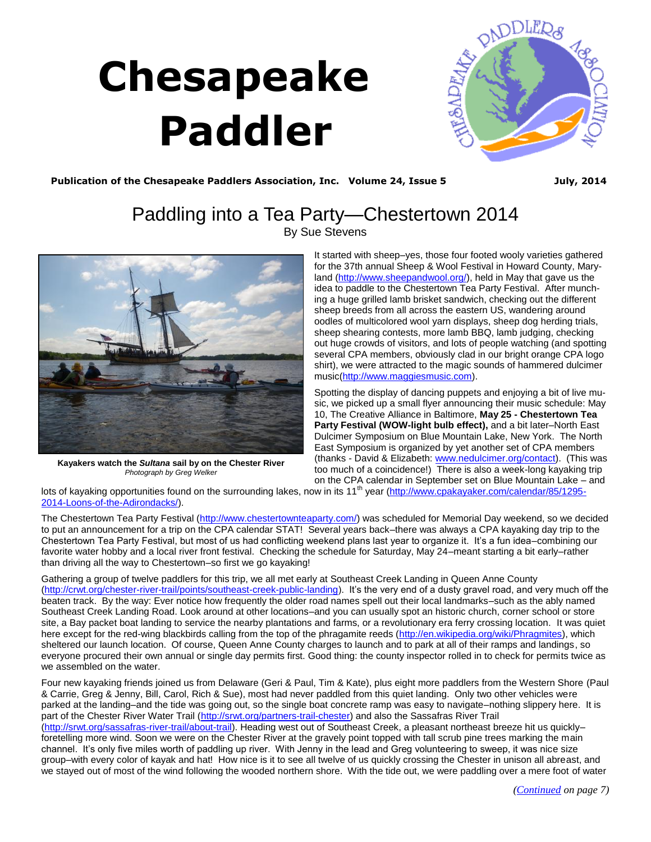# **Chesapeake Paddler**

<span id="page-0-0"></span>

Publication of the Chesapeake Paddlers Association, Inc. Volume 24, Issue 5 **July, 2014** 

# Paddling into a Tea Party—Chestertown 2014 By Sue Stevens



**Kayakers watch the** *Sultana* **sail by on the Chester River**  *Photograph by Greg Welker*

It started with sheep–yes, those four footed wooly varieties gathered for the 37th annual Sheep & Wool Festival in Howard County, Maryland [\(http://www.sheepandwool.org/\),](http://www.sheepandwool.org/) held in May that gave us the idea to paddle to the Chestertown Tea Party Festival. After munching a huge grilled lamb brisket sandwich, checking out the different sheep breeds from all across the eastern US, wandering around oodles of multicolored wool yarn displays, sheep dog herding trials, sheep shearing contests, more lamb BBQ, lamb judging, checking out huge crowds of visitors, and lots of people watching (and spotting several CPA members, obviously clad in our bright orange CPA logo shirt), we were attracted to the magic sounds of hammered dulcimer music[\(http://www.maggiesmusic.com\).](http://www.maggiesmusic.com)

Spotting the display of dancing puppets and enjoying a bit of live music, we picked up a small flyer announcing their music schedule: May 10, The Creative Alliance in Baltimore, **May 25 - Chestertown Tea Party Festival (WOW-light bulb effect),** and a bit later–North East Dulcimer Symposium on Blue Mountain Lake, New York. The North East Symposium is organized by yet another set of CPA members (thanks - David & Elizabeth: [www.nedulcimer.org/contact\).](http://www.nedulcimer.org/contact) (This was too much of a coincidence!) There is also a week-long kayaking trip on the CPA calendar in September set on Blue Mountain Lake – and

lots of kayaking opportunities found on the surrounding lakes, now in its 11<sup>th</sup> year ([http://www.cpakayaker.com/calendar/85/1295-](http://www.cpakayaker.com/calendar/85/1295-2014-Loons-of-the-Adirondacks/) [2014-Loons-of-the-Adirondacks/\).](http://www.cpakayaker.com/calendar/85/1295-2014-Loons-of-the-Adirondacks/)

The Chestertown Tea Party Festival ([http://www.chestertownteaparty.com/\)](http://www.chestertownteaparty.com/) was scheduled for Memorial Day weekend, so we decided to put an announcement for a trip on the CPA calendar STAT! Several years back–there was always a CPA kayaking day trip to the Chestertown Tea Party Festival, but most of us had conflicting weekend plans last year to organize it. It's a fun idea–combining our favorite water hobby and a local river front festival. Checking the schedule for Saturday, May 24–meant starting a bit early–rather than driving all the way to Chestertown–so first we go kayaking!

Gathering a group of twelve paddlers for this trip, we all met early at Southeast Creek Landing in Queen Anne County ([http://crwt.org/chester-river-trail/points/southeast-creek-public-landing\)](http://crwt.org/chester-river-trail/points/southeast-creek-public-landing). It's the very end of a dusty gravel road, and very much off the beaten track. By the way: Ever notice how frequently the older road names spell out their local landmarks–such as the ably named Southeast Creek Landing Road. Look around at other locations–and you can usually spot an historic church, corner school or store site, a Bay packet boat landing to service the nearby plantations and farms, or a revolutionary era ferry crossing location. It was quiet here except for the red-wing blackbirds calling from the top of the phragamite reeds ([http://en.wikipedia.org/wiki/Phragmites\),](http://en.wikipedia.org/wiki/Phragmites) which sheltered our launch location. Of course, Queen Anne County charges to launch and to park at all of their ramps and landings, so everyone procured their own annual or single day permits first. Good thing: the county inspector rolled in to check for permits twice as we assembled on the water.

Four new kayaking friends joined us from Delaware (Geri & Paul, Tim & Kate), plus eight more paddlers from the Western Shore (Paul & Carrie, Greg & Jenny, Bill, Carol, Rich & Sue), most had never paddled from this quiet landing. Only two other vehicles were parked at the landing–and the tide was going out, so the single boat concrete ramp was easy to navigate–nothing slippery here. It is part of the Chester River Water Trail ([http://srwt.org/partners-trail-chester\)](http://srwt.org/partners-trail-chester) and also the Sassafras River Trail ([http://srwt.org/sassafras-river-trail/about-trail\)](http://srwt.org/sassafras-river-trail/about-trail). Heading west out of Southeast Creek, a pleasant northeast breeze hit us quickly– foretelling more wind. Soon we were on the Chester River at the gravely point topped with tall scrub pine trees marking the main channel. It's only five miles worth of paddling up river. With Jenny in the lead and Greg volunteering to sweep, it was nice size group–with every color of kayak and hat! How nice is it to see all twelve of us quickly crossing the Chester in unison all abreast, and we stayed out of most of the wind following the wooded northern shore. With the tide out, we were paddling over a mere foot of water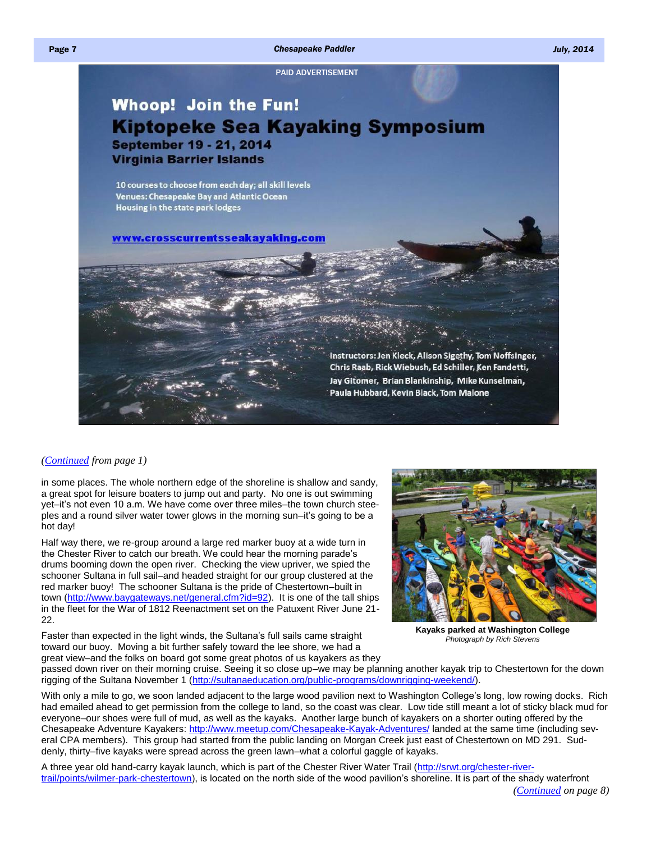#### <span id="page-1-0"></span>Page 7 *Chesapeake Paddler July, 2014*

[PAID ADVERTISEMENT](http://www.crosscurrentsseakayaking.com/)

# **Whoop! Join the Fun! Kiptopeke Sea Kayaking Symposium September 19 - 21, 2014 Virginia Barrier Islands**

10 courses to choose from each day; all skill levels Venues: Chesapeake Bay and Atlantic Ocean Housing in the state park lodges

www.crosscurrentsseakayaking.com

Instructors: Jen Kleck, Alison Sigethy, Tom Noffsinger, Chris Raab, Rick Wiebush, Ed Schiller, Ken Fandetti, Jay Gitomer, Brian Blankinship, Mike Kunselman, Paula Hubbard, Kevin Black, Tom Malone

#### *[\(Continued](#page-0-0) from page 1)*

in some places. The whole northern edge of the shoreline is shallow and sandy, a great spot for leisure boaters to jump out and party. No one is out swimming yet–it's not even 10 a.m. We have come over three miles–the town church steeples and a round silver water tower glows in the morning sun–it's going to be a hot day!

Half way there, we re-group around a large red marker buoy at a wide turn in the Chester River to catch our breath. We could hear the morning parade's drums booming down the open river. Checking the view upriver, we spied the schooner Sultana in full sail–and headed straight for our group clustered at the red marker buoy! The schooner Sultana is the pride of Chestertown–built in town [\(http://www.baygateways.net/general.cfm?id=92\)](http://www.baygateways.net/general.cfm?id=92). It is one of the tall ships in the fleet for the War of 1812 Reenactment set on the Patuxent River June 21- 22.

Faster than expected in the light winds, the Sultana's full sails came straight toward our buoy. Moving a bit further safely toward the lee shore, we had a great view–and the folks on board got some great photos of us kayakers as they



**Kayaks parked at Washington College**  *Photograph by Rich Stevens*

passed down river on their morning cruise. Seeing it so close up–we may be planning another kayak trip to Chestertown for the down rigging of the Sultana November 1 ([http://sultanaeducation.org/public-programs/downrigging-weekend/\).](http://sultanaeducation.org/public-programs/downrigging-weekend/)

With only a mile to go, we soon landed adjacent to the large wood pavilion next to Washington College's long, low rowing docks. Rich had emailed ahead to get permission from the college to land, so the coast was clear. Low tide still meant a lot of sticky black mud for everyone–our shoes were full of mud, as well as the kayaks. Another large bunch of kayakers on a shorter outing offered by the Chesapeake Adventure Kayakers: <http://www.meetup.com/Chesapeake-Kayak-Adventures/> landed at the same time (including several CPA members). This group had started from the public landing on Morgan Creek just east of Chestertown on MD 291. Suddenly, thirty–five kayaks were spread across the green lawn–what a colorful gaggle of kayaks.

A three year old hand-carry kayak launch, which is part of the Chester River Water Trail ([http://srwt.org/chester-river](http://srwt.org/chester-river-trail/points/wilmer-park-chestertown)[trail/points/wilmer-park-chestertown\)](http://srwt.org/chester-river-trail/points/wilmer-park-chestertown), is located on the north side of the wood pavilion's shoreline. It is part of the shady waterfront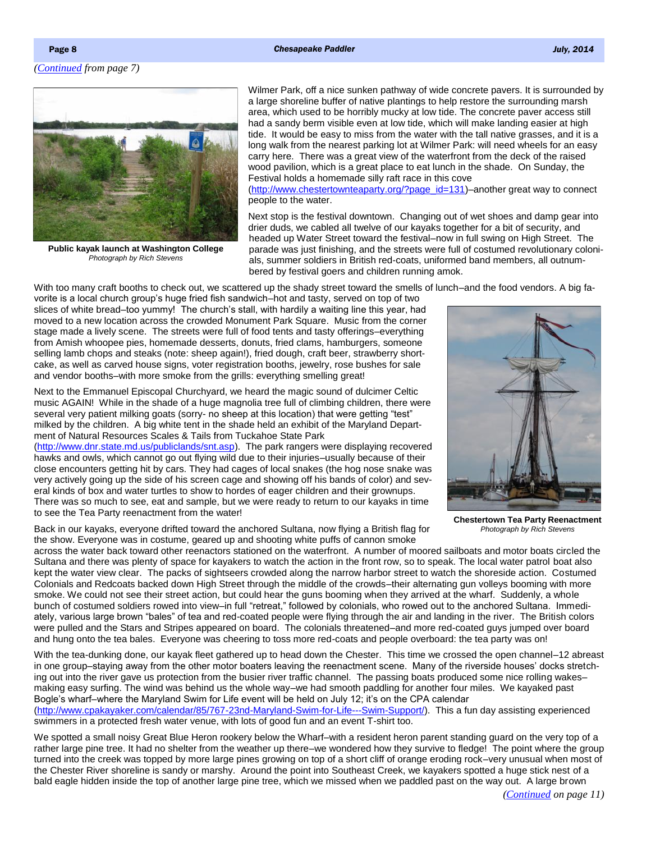#### <span id="page-2-0"></span>Page 8 **Chesapeake Paddler July, 2014 Chesapeake Paddler July, 2014**



**Public kayak launch at Washington College**  *Photograph by Rich Stevens*

Wilmer Park, off a nice sunken pathway of wide concrete pavers. It is surrounded by a large shoreline buffer of native plantings to help restore the surrounding marsh area, which used to be horribly mucky at low tide. The concrete paver access still had a sandy berm visible even at low tide, which will make landing easier at high tide. It would be easy to miss from the water with the tall native grasses, and it is a long walk from the nearest parking lot at Wilmer Park: will need wheels for an easy carry here. There was a great view of the waterfront from the deck of the raised wood pavilion, which is a great place to eat lunch in the shade. On Sunday, the Festival holds a homemade silly raft race in this cove

([http://www.chestertownteaparty.org/?page\\_id=131\)–](http://www.chestertownteaparty.org/?page_id=131)another great way to connect people to the water.

Next stop is the festival downtown. Changing out of wet shoes and damp gear into drier duds, we cabled all twelve of our kayaks together for a bit of security, and headed up Water Street toward the festival–now in full swing on High Street. The parade was just finishing, and the streets were full of costumed revolutionary colonials, summer soldiers in British red-coats, uniformed band members, all outnumbered by festival goers and children running amok.

With too many craft booths to check out, we scattered up the shady street toward the smells of lunch–and the food vendors. A big fa-

vorite is a local church group's huge fried fish sandwich–hot and tasty, served on top of two slices of white bread–too yummy! The church's stall, with hardily a waiting line this year, had moved to a new location across the crowded Monument Park Square. Music from the corner stage made a lively scene. The streets were full of food tents and tasty offerings–everything from Amish whoopee pies, homemade desserts, donuts, fried clams, hamburgers, someone selling lamb chops and steaks (note: sheep again!), fried dough, craft beer, strawberry shortcake, as well as carved house signs, voter registration booths, jewelry, rose bushes for sale and vendor booths–with more smoke from the grills: everything smelling great!

Next to the Emmanuel Episcopal Churchyard, we heard the magic sound of dulcimer Celtic music AGAIN! While in the shade of a huge magnolia tree full of climbing children, there were several very patient milking goats (sorry- no sheep at this location) that were getting "test" milked by the children. A big white tent in the shade held an exhibit of the Maryland Department of Natural Resources Scales & Tails from Tuckahoe State Park

[\(http://www.dnr.state.md.us/publiclands/snt.asp\).](http://www.dnr.state.md.us/publiclands/snt.asp) The park rangers were displaying recovered hawks and owls, which cannot go out flying wild due to their injuries–usually because of their close encounters getting hit by cars. They had cages of local snakes (the hog nose snake was very actively going up the side of his screen cage and showing off his bands of color) and several kinds of box and water turtles to show to hordes of eager children and their grownups. There was so much to see, eat and sample, but we were ready to return to our kayaks in time to see the Tea Party reenactment from the water!

Back in our kayaks, everyone drifted toward the anchored Sultana, now flying a British flag for the show. Everyone was in costume, geared up and shooting white puffs of cannon smoke



**Chestertown Tea Party Reenactment**  *Photograph by Rich Stevens*

across the water back toward other reenactors stationed on the waterfront. A number of moored sailboats and motor boats circled the Sultana and there was plenty of space for kayakers to watch the action in the front row, so to speak. The local water patrol boat also kept the water view clear. The packs of sightseers crowded along the narrow harbor street to watch the shoreside action. Costumed Colonials and Redcoats backed down High Street through the middle of the crowds–their alternating gun volleys booming with more smoke. We could not see their street action, but could hear the guns booming when they arrived at the wharf. Suddenly, a whole bunch of costumed soldiers rowed into view–in full "retreat," followed by colonials, who rowed out to the anchored Sultana. Immediately, various large brown "bales" of tea and red-coated people were flying through the air and landing in the river. The British colors were pulled and the Stars and Stripes appeared on board. The colonials threatened–and more red-coated guys jumped over board and hung onto the tea bales. Everyone was cheering to toss more red-coats and people overboard: the tea party was on!

With the tea-dunking done, our kayak fleet gathered up to head down the Chester. This time we crossed the open channel–12 abreast in one group–staying away from the other motor boaters leaving the reenactment scene. Many of the riverside houses' docks stretching out into the river gave us protection from the busier river traffic channel. The passing boats produced some nice rolling wakes– making easy surfing. The wind was behind us the whole way–we had smooth paddling for another four miles. We kayaked past Bogle's wharf–where the Maryland Swim for Life event will be held on July 12; it's on the CPA calendar

[\(http://www.cpakayaker.com/calendar/85/767-23nd-Maryland-Swim-for-Life---Swim-Support/\)](http://www.cpakayaker.com/calendar/85/767-23nd-Maryland-Swim-for-Life---Swim-Support/). This a fun day assisting experienced swimmers in a protected fresh water venue, with lots of good fun and an event T-shirt too.

We spotted a small noisy Great Blue Heron rookery below the Wharf–with a resident heron parent standing guard on the very top of a rather large pine tree. It had no shelter from the weather up there–we wondered how they survive to fledge! The point where the group turned into the creek was topped by more large pines growing on top of a short cliff of orange eroding rock–very unusual when most of the Chester River shoreline is sandy or marshy. Around the point into Southeast Creek, we kayakers spotted a huge stick nest of a bald eagle hidden inside the top of another large pine tree, which we missed when we paddled past on the way out. A large brown